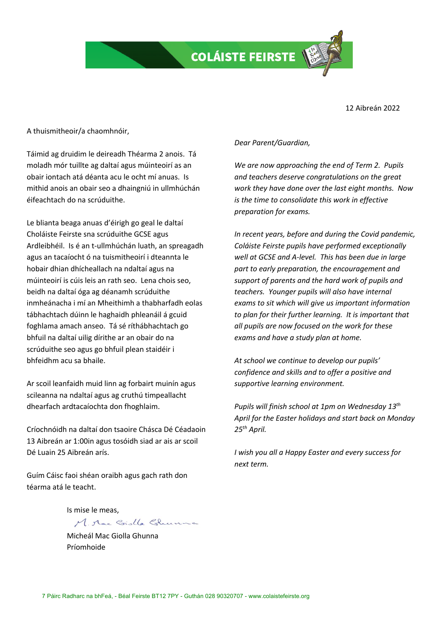**COLÁISTE FEIRSTE** 

12 Aibreán 2022

A thuismitheoir/a chaomhnóir,

Táimid ag druidim le deireadh Théarma 2 anois. Tá moladh mór tuillte ag daltaí agus múinteoirí as an obair iontach atá déanta acu le ocht mí anuas. Is mithid anois an obair seo a dhaingniú in ullmhúchán éifeachtach do na scrúduithe.

Le blianta beaga anuas d'éirigh go geal le daltaí Choláiste Feirste sna scrúduithe GCSE agus Ardleibhéil. Is é an t-ullmhúchán luath, an spreagadh agus an tacaíocht ó na tuismitheoirí i dteannta le hobair dhian dhícheallach na ndaltaí agus na múinteoirí is cúis leis an rath seo. Lena chois seo, beidh na daltaí óga ag déanamh scrúduithe inmheánacha i mí an Mheithimh a thabharfadh eolas tábhachtach dúinn le haghaidh phleanáil á gcuid foghlama amach anseo. Tá sé ríthábhachtach go bhfuil na daltaí uilig dírithe ar an obair do na scrúduithe seo agus go bhfuil plean staidéir i bhfeidhm acu sa bhaile.

Ar scoil leanfaidh muid linn ag forbairt muinín agus scileanna na ndaltaí agus ag cruthú timpeallacht dhearfach ardtacaíochta don fhoghlaim.

Críochnóidh na daltaí don tsaoire Chásca Dé Céadaoin 13 Aibreán ar 1:00in agus tosóidh siad ar ais ar scoil Dé Luain 25 Aibreán arís.

Guím Cáisc faoi shéan oraibh agus gach rath don téarma atá le teacht.

Is mise le meas,

M. Mac Giolla Ghunna

Micheál Mac Giolla Ghunna Príomhoide

## *Dear Parent/Guardian,*

*We are now approaching the end of Term 2. Pupils and teachers deserve congratulations on the great work they have done over the last eight months. Now is the time to consolidate this work in effective preparation for exams.*

*In recent years, before and during the Covid pandemic, Coláiste Feirste pupils have performed exceptionally well at GCSE and A-level. This has been due in large part to early preparation, the encouragement and support of parents and the hard work of pupils and teachers. Younger pupils will also have internal exams to sit which will give us important information to plan for their further learning. It is important that all pupils are now focused on the work for these exams and have a study plan at home.*

*At school we continue to develop our pupils' confidence and skills and to offer a positive and supportive learning environment.*

*Pupils will finish school at 1pm on Wednesday 13th April for the Easter holidays and start back on Monday 25th April.*

*I wish you all a Happy Easter and every success for next term.*